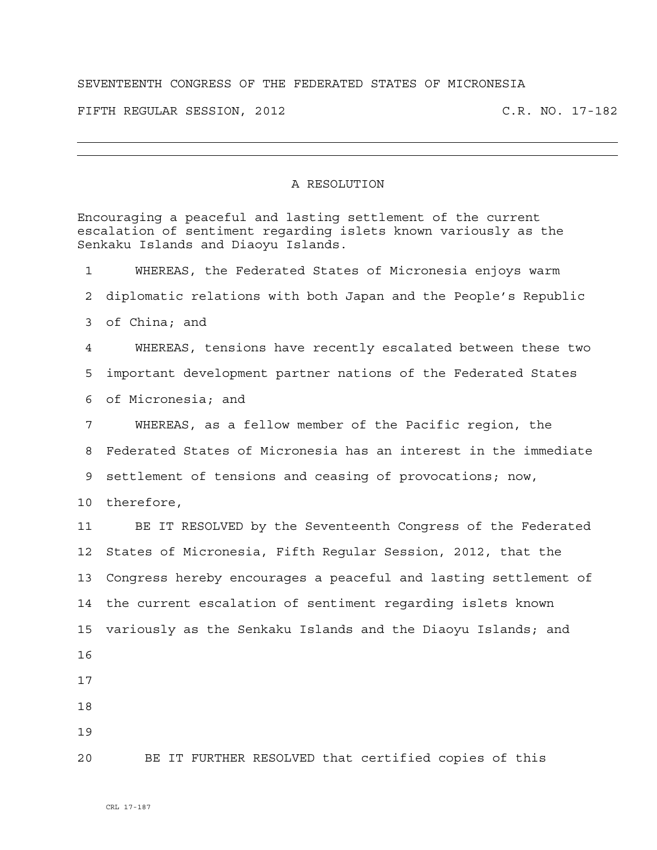## SEVENTEENTH CONGRESS OF THE FEDERATED STATES OF MICRONESIA

FIFTH REGULAR SESSION, 2012 C.R. NO. 17-182

## A RESOLUTION

Encouraging a peaceful and lasting settlement of the current escalation of sentiment regarding islets known variously as the Senkaku Islands and Diaoyu Islands. 1 WHEREAS, the Federated States of Micronesia enjoys warm 2 diplomatic relations with both Japan and the People's Republic 3 of China; and 4 WHEREAS, tensions have recently escalated between these two 5 important development partner nations of the Federated States 6 of Micronesia; and 7 WHEREAS, as a fellow member of the Pacific region, the 8 Federated States of Micronesia has an interest in the immediate 9 settlement of tensions and ceasing of provocations; now, 10 therefore, 11 BE IT RESOLVED by the Seventeenth Congress of the Federated 12 States of Micronesia, Fifth Regular Session, 2012, that the 13 Congress hereby encourages a peaceful and lasting settlement of 14 the current escalation of sentiment regarding islets known 15 variously as the Senkaku Islands and the Diaoyu Islands; and 16 17 18 19 20 BE IT FURTHER RESOLVED that certified copies of this